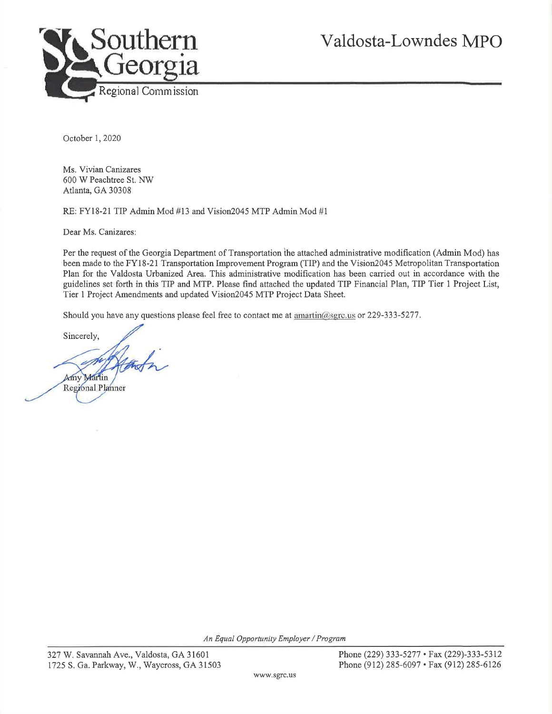

October 1, 2020

Ms. Vivian Canizares 600 W Peachtree St. NW Atlanta, GA 30308

RE: FY18-21 TIP Admin Mod #13 and Vision2045 MTP Admin Mod #1

Dear Ms. Canizares:

Per the request of the Georgia Department of Transportation the attached administrative modification (Admin Mod) has been made to the FY18-21 Transportation Improvement Program (TIP) and the Vision2045 Metropolitan Transportation Plan for the Valdosta Urbanized Area. This administrative modification has been carried out in accordance with the guidelines set forth in this TIP and MTP. Please find attached the updated TIP Financial Plan, TIP Tier 1 Project List, Tier 1 Project Amendments and updated Vision2045 MTP Project Data Sheet.

Should you have any questions please feel free to contact me at amartin@sgrc.us or 229-333-5277.

Sincerely,

Amy Martin Regional Planner

An Equal Opportunity Employer / Program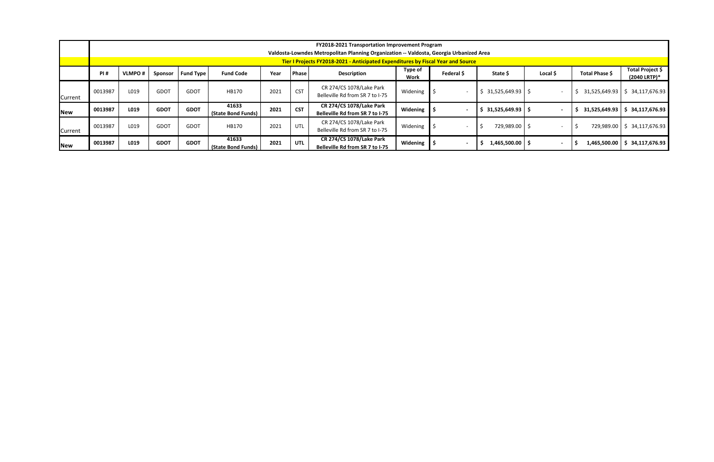|            | <b>FY2018-2021 Transportation Improvement Program</b>                                                                                                                       |                                                                  |             |             |                             |      |            |                                                                    |                 |            |                      |          |                |                                  |
|------------|-----------------------------------------------------------------------------------------------------------------------------------------------------------------------------|------------------------------------------------------------------|-------------|-------------|-----------------------------|------|------------|--------------------------------------------------------------------|-----------------|------------|----------------------|----------|----------------|----------------------------------|
|            | Valdosta-Lowndes Metropolitan Planning Organization -- Valdosta, Georgia Urbanized Area<br>Tier I Projects FY2018-2021 - Anticipated Expenditures by Fiscal Year and Source |                                                                  |             |             |                             |      |            |                                                                    |                 |            |                      |          |                |                                  |
|            | PI#                                                                                                                                                                         | <b>VLMPO#</b><br><b>Fund Type</b><br><b>Fund Code</b><br>Sponsor |             |             |                             | Year | Phase      | <b>Description</b>                                                 | Type of<br>Work | Federal \$ | State \$             | Local \$ | Total Phase \$ | Total Project \$<br>(2040 LRTP)* |
| Current    | 0013987                                                                                                                                                                     | L019                                                             | GDOT        | GDOT        | HB170                       | 2021 | <b>CST</b> | CR 274/CS 1078/Lake Park<br>Belleville Rd from SR 7 to I-75        | Widening        |            | $$31,525,649.93$ \\$ |          | 31,525,649.93  | \$34,117,676.93                  |
| <b>New</b> | 0013987                                                                                                                                                                     | L019                                                             | <b>GDOT</b> | <b>GDOT</b> | 41633<br>(State Bond Funds) | 2021 | <b>CST</b> | CR 274/CS 1078/Lake Park<br>Belleville Rd from SR 7 to I-75        | Widening        |            | $31,525,649.93$   \$ |          | 31,525,649.93  | \$34,117,676.93                  |
| Current    | 0013987                                                                                                                                                                     | L019                                                             | GDOT        | GDOT        | HB170                       | 2021 | UTL        | CR 274/CS 1078/Lake Park<br>Belleville Rd from SR 7 to I-75        | Widening        |            | 729,989.00 \$        |          | 729,989.00     | \$34,117,676.93                  |
| <b>New</b> | 0013987                                                                                                                                                                     | L019                                                             | <b>GDOT</b> | <b>GDOT</b> | 41633<br>(State Bond Funds) | 2021 | UTL        | <b>CR 274/CS 1078/Lake Park</b><br>Belleville Rd from SR 7 to I-75 | Widening        |            | $1,465,500.00$   \$  |          | 1,465,500.00   | 34,117,676.93                    |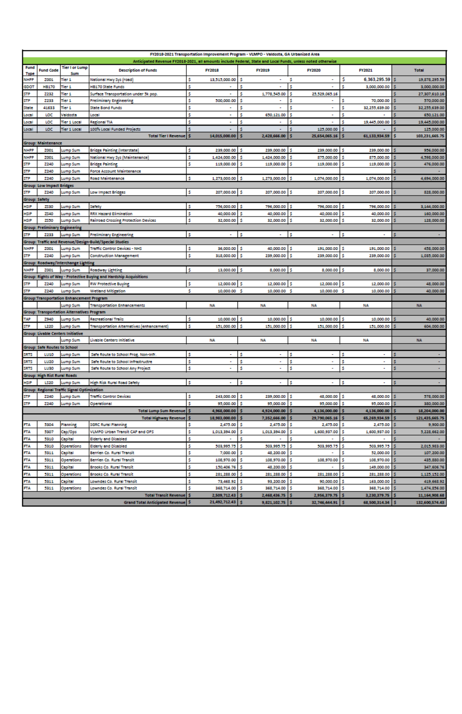|                             | FY2018-2021 Transportation Improvement Program - VLMPO - Valdosta, GA Urbanized Area<br>Anticipated Revenue FY2018-2021, all amounts include Federal, State and Local Funds, unless noted otherwise |                                                               |                                                                                                   |                                           |                                   |                                           |                                   |                                 |  |  |  |  |  |
|-----------------------------|-----------------------------------------------------------------------------------------------------------------------------------------------------------------------------------------------------|---------------------------------------------------------------|---------------------------------------------------------------------------------------------------|-------------------------------------------|-----------------------------------|-------------------------------------------|-----------------------------------|---------------------------------|--|--|--|--|--|
| Fund                        |                                                                                                                                                                                                     | <b>Tier I or Lump</b>                                         |                                                                                                   |                                           |                                   |                                           |                                   |                                 |  |  |  |  |  |
| <b>Type</b>                 | <b>Fund Code</b>                                                                                                                                                                                    | Sum                                                           | <b>Description of Funds</b>                                                                       | <b>FY2018</b>                             | <b>FY2019</b>                     | <b>FY2020</b>                             | FY2021                            | <b>Total</b>                    |  |  |  |  |  |
| NHPP                        | 2001                                                                                                                                                                                                | Tier 1                                                        | National Hwy Sys (road)                                                                           | \$<br>13,515,000.00                       | s<br>٠                            | \$                                        | s<br>6,363,295.59 \$              | 19,878,295.59                   |  |  |  |  |  |
| GDOT                        | <b>HB170</b>                                                                                                                                                                                        | Tier 1                                                        | <b>HB170 State Funds</b>                                                                          | Ś                                         | Ś                                 | Ś                                         | 3,000,000.00                      | 3,000,000.00                    |  |  |  |  |  |
| STP                         | 2232                                                                                                                                                                                                | Tier 1                                                        | Surface Transportation under 5k pop.                                                              | \$                                        | \$<br>1,778,545.00                | Ś<br>25,529,065.16                        |                                   | 27,307,610.16                   |  |  |  |  |  |
| STP                         | 2233                                                                                                                                                                                                | Tier 1                                                        | <b>Preliminary Engineering</b>                                                                    | \$<br>500,000.00                          | s                                 | s                                         | Ś<br>70,000.00                    | 570,000.00                      |  |  |  |  |  |
| State                       | 41633                                                                                                                                                                                               | Tier 1                                                        | <b>State Bond Funds</b>                                                                           | \$                                        | \$<br>٠                           | Ś<br>٠                                    | Ś<br>32,255,639.00                | 32,255,639.00                   |  |  |  |  |  |
| Local                       | LOC                                                                                                                                                                                                 | Valdosta                                                      | Local                                                                                             | \$                                        | \$<br>650,121.00                  | Ś                                         | Ś                                 | 650,121.00                      |  |  |  |  |  |
| Local                       | LOC                                                                                                                                                                                                 | Ther 1 Local                                                  | <b>Regional TIA</b>                                                                               | Ś.                                        | s                                 | Ś                                         | Ś<br>19,445,000.00                | 19,445,000.00                   |  |  |  |  |  |
| Local                       | LOC.                                                                                                                                                                                                | Tier 1 Local                                                  | 100% Local Funded Projects                                                                        | ś                                         | s<br>٠                            | Ś<br>125,000.00                           |                                   | 125,000.00                      |  |  |  |  |  |
|                             |                                                                                                                                                                                                     |                                                               | <b>Total Tier I Revenue</b>                                                                       | Ś<br>14,015,000.00                        | 2,428,666.00                      | 25,654,065.16                             | 61,133,934.59                     | 103,231,665.75                  |  |  |  |  |  |
|                             | <b>Group: Maintenance</b>                                                                                                                                                                           |                                                               |                                                                                                   |                                           |                                   |                                           |                                   |                                 |  |  |  |  |  |
| NHPP                        | 2001                                                                                                                                                                                                | Lump Sum                                                      | <b>Bridge Painting (Interstate)</b>                                                               | \$.<br>239,000.00                         | s<br>239,000.00                   | ß.<br>239,000.00                          | s<br>239,000.00                   | 956,000.00                      |  |  |  |  |  |
| NHPP                        | 2001                                                                                                                                                                                                | Lump Sum                                                      | National Hwy Sys (Maintenance)                                                                    | \$<br>1,424,000.00                        | s<br>1,424,000.00                 | 1Ś<br>875,000.00                          | s<br>875,000.00                   | 4,598,000.00                    |  |  |  |  |  |
| STP                         | 2240                                                                                                                                                                                                | Lump Sum                                                      | <b>Bridge Painting</b>                                                                            | s<br>119,000.00                           | s<br>119,000.00                   | s<br>119,000.00                           | s<br>119,000.00                   | 476,000.00                      |  |  |  |  |  |
| STP                         | 2240                                                                                                                                                                                                | Lump Sum                                                      | <b>Force Account Maintenance</b>                                                                  |                                           |                                   |                                           |                                   |                                 |  |  |  |  |  |
| STP                         | 2240                                                                                                                                                                                                | Lump Sum                                                      | <b>Road Maintenance</b>                                                                           | Ś.<br>1,273,000.00                        | s<br>1,273,000.00                 | IŚ.<br>1,074,000.00                       | 1,074,000.00                      | 4,694,000.00                    |  |  |  |  |  |
|                             | <b>Group: Low Impact Bridges</b>                                                                                                                                                                    |                                                               |                                                                                                   |                                           |                                   |                                           |                                   |                                 |  |  |  |  |  |
| STP<br><b>Group: Safety</b> | 2240                                                                                                                                                                                                | Lump Sum                                                      | Low Impact Bridges                                                                                | \$.<br>207,000.00                         | - 5<br>207,000.00                 | - 5<br>207,000.00                         | ıs.<br>207,000.00                 | 828,000.00                      |  |  |  |  |  |
|                             |                                                                                                                                                                                                     |                                                               |                                                                                                   |                                           | s                                 | ı\$<br>796,000.00 \$                      |                                   |                                 |  |  |  |  |  |
| HSIP                        | 2530                                                                                                                                                                                                | Lump Sum                                                      | Safety<br><b>RRX Hazard Elimination</b>                                                           | \$<br>756,000.00                          | 796,000.00                        |                                           | 796,000.00                        | 3,144,000.00                    |  |  |  |  |  |
| HSIP                        | ZS40                                                                                                                                                                                                | Lump Sum                                                      |                                                                                                   | \$<br>40,000.00                           | s<br>40,000.00                    | 1\$<br>40,000.00                          | s<br>40,000.00<br>s               | 160,000.00                      |  |  |  |  |  |
| HSIP                        | 2550                                                                                                                                                                                                | Lump Sum                                                      | <b>Railroad Crossing Protection Devices</b>                                                       | \$<br>32,000.00                           | \$<br>32,000.00                   | s<br>32,000.00                            | 32,000.00                         | 128,000.00                      |  |  |  |  |  |
|                             | <b>Group: Preliminary Engineering</b>                                                                                                                                                               |                                                               |                                                                                                   |                                           |                                   |                                           |                                   |                                 |  |  |  |  |  |
| STP                         | 2233                                                                                                                                                                                                | Lump Sum                                                      | <b>Preliminary Engineering</b>                                                                    | s                                         | s                                 | s                                         | s<br>٠                            | s                               |  |  |  |  |  |
|                             |                                                                                                                                                                                                     |                                                               | Group: Traffic and Revenue/Design-Build/Special Studies                                           |                                           |                                   |                                           |                                   |                                 |  |  |  |  |  |
| NHPP                        | 2001                                                                                                                                                                                                | Lump Sum                                                      | <b>Traffic Control Devices - NHS</b>                                                              | \$<br>36,000.00                           | s<br>40,000.00                    | s<br>191,000.00                           | s<br>191,000.00                   | 458,000.00                      |  |  |  |  |  |
| STP                         | 2240                                                                                                                                                                                                | Lump Sum                                                      | <b>Construction Management</b>                                                                    | \$<br>318,000.00                          | s<br>239,000.00                   | .s<br>239,000.00                          | s<br>239,000.00                   | 1,035,000.00                    |  |  |  |  |  |
|                             |                                                                                                                                                                                                     | Group: Roadway/Interchange Lighting                           |                                                                                                   |                                           |                                   |                                           |                                   |                                 |  |  |  |  |  |
| NHPP                        | 2001                                                                                                                                                                                                | Lump Sum                                                      | Roadway Lighting                                                                                  | \$.<br>13,000.00                          | s<br>8,000.00                     | -5<br>8,000.00                            | - 5<br>8,000.00                   | 37,000.00                       |  |  |  |  |  |
|                             | 2240                                                                                                                                                                                                | Lump Sum                                                      | Group: Rights of Way - Protective Buying and Hardship Acquisitions<br><b>RW Protective Buying</b> |                                           | s                                 | - 5<br>12,000.00 \$                       | 12,000.00                         |                                 |  |  |  |  |  |
| STP                         |                                                                                                                                                                                                     |                                                               |                                                                                                   | \$<br>12,000.00                           | 12,000.00                         |                                           |                                   | 48,000.00                       |  |  |  |  |  |
| STP                         | 2240                                                                                                                                                                                                | Lump Sum                                                      | <b>Wetland Mitigation</b>                                                                         | \$<br>10,000.00 \$                        | 10,000.00 \$                      | 10,000.00 \$                              | 10,000.00                         | 40,000.00                       |  |  |  |  |  |
|                             |                                                                                                                                                                                                     | <b>Group:Transportation Enhancement Program</b>               |                                                                                                   |                                           |                                   |                                           |                                   |                                 |  |  |  |  |  |
|                             |                                                                                                                                                                                                     | Lump Sum                                                      | <b>Transportation Enhancements</b>                                                                | <b>NA</b>                                 | <b>NA</b>                         | <b>NA</b>                                 | <b>NA</b>                         | <b>NA</b>                       |  |  |  |  |  |
| TAP                         | 2940                                                                                                                                                                                                | <b>Group: Transportation Alternatives Program</b><br>Lump Sum | <b>Recreational Trails</b>                                                                        | \$<br>10,000.00 \$                        | 10,000.00 \$                      | 10,000.00 \$                              | 10,000.00 \$                      | 40,000.00                       |  |  |  |  |  |
| STP                         | L220                                                                                                                                                                                                | Lump Sum                                                      | <b>Transportation Alternatives (enhancement)</b>                                                  | \$<br>151,000.00 \$                       | 151,000.00 \$                     | 151,000.00 \$                             | 151,000.00 \$                     |                                 |  |  |  |  |  |
|                             |                                                                                                                                                                                                     |                                                               |                                                                                                   |                                           |                                   |                                           |                                   | 604,000.00                      |  |  |  |  |  |
|                             |                                                                                                                                                                                                     | <b>Group: Livable Centers Initiative</b><br>Lump Sum          | Livable Centers Initiative                                                                        | <b>NA</b>                                 | <b>NA</b>                         | <b>NA</b>                                 | NA                                | <b>NA</b>                       |  |  |  |  |  |
|                             | Group: Safe Routes to School                                                                                                                                                                        |                                                               |                                                                                                   |                                           |                                   |                                           |                                   |                                 |  |  |  |  |  |
|                             |                                                                                                                                                                                                     |                                                               |                                                                                                   | \$                                        | s                                 | Ś                                         | Ś                                 |                                 |  |  |  |  |  |
| SRTS                        | <b>LU10</b>                                                                                                                                                                                         | <b>Lump Sum</b>                                               | Safe Route to School Prog. Non-Inn.                                                               |                                           |                                   |                                           |                                   |                                 |  |  |  |  |  |
| SRTS                        | LU20<br>LU30                                                                                                                                                                                        | Lump Sum                                                      | Safe Route to School Infrastructre                                                                | \$<br>٠<br>\$                             | \$<br>٠<br>\$                     | Ś<br>۰                                    | Ś<br>٠                            |                                 |  |  |  |  |  |
| SRTS                        |                                                                                                                                                                                                     | Lump Sum                                                      | Safe Route to School Any Project                                                                  |                                           | ٠                                 | \$                                        | \$<br>٠                           |                                 |  |  |  |  |  |
| HSIP                        | Group: High Rist Rural Roads<br><b>LS20</b>                                                                                                                                                         | Lump Sum                                                      | <b>High Risk Rural Road Safety</b>                                                                | Ś.<br>٠                                   | \$<br>٠                           | s<br>٠                                    | s<br>۰                            | s                               |  |  |  |  |  |
|                             |                                                                                                                                                                                                     |                                                               |                                                                                                   |                                           |                                   |                                           |                                   |                                 |  |  |  |  |  |
| STP                         | 2240                                                                                                                                                                                                | Group: Regional Traffic Signal Optimization<br>Lump Sum       | <b>Traffic Control Devices</b>                                                                    | \$<br>243,000.00 \$                       | 239,000.00                        | 48,000.00 \$<br>۱s                        | 48,000.00                         | 578,000.00                      |  |  |  |  |  |
| STP                         | 2240                                                                                                                                                                                                | Lump Sum                                                      | Operational                                                                                       | Ś.<br>95,000.00                           | i s<br>95,000.00                  | - 5<br>95,000.00 \$                       | 95,000.00                         | 380,000.00                      |  |  |  |  |  |
|                             |                                                                                                                                                                                                     |                                                               |                                                                                                   |                                           | s                                 |                                           |                                   |                                 |  |  |  |  |  |
|                             |                                                                                                                                                                                                     |                                                               | <b>Total Lump Sum Revenue</b> \$                                                                  | 4,968,000.00<br>18,983,000.00             | 4,924,000.00<br>7,352,666.00      | 4,136,000.00 \$<br>29,790,065.16          | 4,136,000.00<br>65,269,934.59     | 18,204,000.00<br>121,435,665.75 |  |  |  |  |  |
|                             | 5304                                                                                                                                                                                                | Planning                                                      | <b>Total Highway Revenue   \$</b>                                                                 | \$                                        | s                                 |                                           | .s                                |                                 |  |  |  |  |  |
| FTA<br>FTA                  | 5307                                                                                                                                                                                                | Cap/Ops                                                       | <b>SGRC Rural Planning</b><br>VLMPO Urban Transit CAP and OPS                                     | 2,475.00<br>\$.<br>1,013,394.00           | 2,475.00 \$<br>s<br>1,013,394.00  | 2,475.00<br>1,600,937.00                  | 2,475.00<br>s<br>1,600,937.00     | 9,900.00<br>5,228,662.00        |  |  |  |  |  |
| FTA                         | 5310                                                                                                                                                                                                |                                                               |                                                                                                   | Ś                                         | Ś<br>٠                            | s                                         | Ś<br>$\blacksquare$               |                                 |  |  |  |  |  |
|                             |                                                                                                                                                                                                     | Capital                                                       | <b>Elderly and Disabled</b>                                                                       |                                           |                                   |                                           |                                   |                                 |  |  |  |  |  |
| FTA<br>FTA                  | 5310<br>5311                                                                                                                                                                                        | <b>Operations</b><br>Capital                                  | <b>Elderly and Disabled</b><br>Berrien Co. Rural Transit                                          | Ś.<br>503,995.75<br>Ś<br>7,000.00         | s<br>503,995.75<br>s<br>48,200.00 | ß<br>503,995.75<br>1Ś                     | 503,995.75<br>s<br>Ś<br>52,000.00 | 2,015,983.00<br>107,200.00      |  |  |  |  |  |
| FТA                         | 5311                                                                                                                                                                                                |                                                               |                                                                                                   | \$<br>108,970.00 \$                       | 108,970.00                        | -5                                        | 108,970.00<br>-5                  |                                 |  |  |  |  |  |
|                             |                                                                                                                                                                                                     | <b>Operations</b>                                             | Berrien Co. Rural Transit                                                                         | \$                                        |                                   | 108,970.00<br>ß.                          | Ś                                 | 435,880.00                      |  |  |  |  |  |
| FΤA                         | 5311                                                                                                                                                                                                | Capital                                                       | Brooks Co. Rural Transit                                                                          | 150,406.76 \$<br>281,288.00 \$            | 48,200.00                         |                                           | 149,000.00                        | 347,606.76                      |  |  |  |  |  |
| FΤA                         | 5311                                                                                                                                                                                                | Operations                                                    | Brooks Co. Rural Transit                                                                          | \$                                        | 281,288.00                        | ۱s<br>281,288.00 \$                       | 281,288.00 \$                     | 1,125,152.00                    |  |  |  |  |  |
| FΤA<br>FTA                  | 5311<br>5311                                                                                                                                                                                        | Capital                                                       | Lowndes Co. Rural Transit                                                                         | \$<br>73,468.92 \$<br>Ś.<br>368,714.00 \$ | 93,200.00<br>368,714.00           | 90,000.00 \$<br>ß<br>IS.<br>368,714.00 \$ | 163,000.00 \$<br>368,714.00 \$    | 419,668.92                      |  |  |  |  |  |
|                             |                                                                                                                                                                                                     | Operations                                                    | Lowndes Co. Rural Transit<br><b>Total Transit Revenue</b> \$                                      | 2,509,712.43 \$                           |                                   |                                           |                                   | 1,474,856.00                    |  |  |  |  |  |
|                             |                                                                                                                                                                                                     |                                                               | Grand Total Anticipated Revenue \$                                                                | 21,492,712.43 \$                          | 2,468,436.75 \$                   | 2,956,379.75 \$                           | 3,230,379.75 \$                   | 11,164,908.68                   |  |  |  |  |  |
|                             |                                                                                                                                                                                                     |                                                               |                                                                                                   |                                           | 9,821,102.75 \$                   | 32,746,444.91 \$                          | 68,500,314.34 \$                  | 132,600,574.43                  |  |  |  |  |  |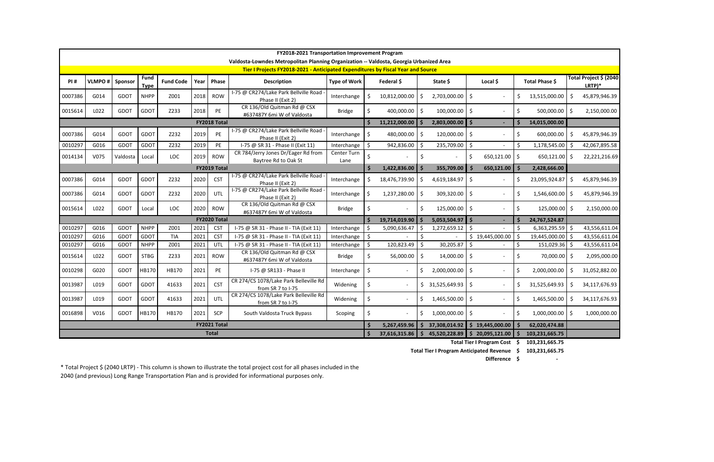|         | FY2018-2021 Transportation Improvement Program                                                                                                                              |             |             |            |      |                     |                                                             |                     |            |                  |            |                   |                    |                                                |                     |                                  |                |                                    |  |
|---------|-----------------------------------------------------------------------------------------------------------------------------------------------------------------------------|-------------|-------------|------------|------|---------------------|-------------------------------------------------------------|---------------------|------------|------------------|------------|-------------------|--------------------|------------------------------------------------|---------------------|----------------------------------|----------------|------------------------------------|--|
|         | Valdosta-Lowndes Metropolitan Planning Organization -- Valdosta, Georgia Urbanized Area<br>Tier I Projects FY2018-2021 - Anticipated Expenditures by Fiscal Year and Source |             |             |            |      |                     |                                                             |                     |            |                  |            |                   |                    |                                                |                     |                                  |                |                                    |  |
| PI#     | <b>Fund</b><br><b>VLMPO#</b><br>Sponsor<br><b>Fund Code</b><br>Phase<br>Year I<br><b>Type</b>                                                                               |             |             |            |      |                     | <b>Description</b>                                          | <b>Type of Work</b> | Federal \$ |                  |            | State \$          |                    | Local \$                                       |                     | Total Phase \$                   |                | Total Project \$ (2040<br>$LRTP)*$ |  |
| 0007386 | G014                                                                                                                                                                        | <b>GDOT</b> | <b>NHPP</b> | Z001       | 2018 | <b>ROW</b>          | I-75 @ CR274/Lake Park Bellville Road<br>Phase II (Exit 2)  | Interchange         |            | 10,812,000.00    |            | 2,703,000.00      | S.                 |                                                |                     | 13,515,000.00                    | Ŝ              | 45,879,946.39                      |  |
| 0015614 | L022                                                                                                                                                                        | <b>GDOT</b> | GDOT        | Z233       | 2018 | <b>PE</b>           | CR 136/Old Quitman Rd @ CSX<br>#637487Y 6mi W of Valdosta   | <b>Bridge</b>       |            | 400,000.00 \$    |            | $100,000.00$ \$   |                    | $\blacksquare$                                 | \$                  | 500,000.00                       | $\ddot{\circ}$ | 2,150,000.00                       |  |
|         |                                                                                                                                                                             |             |             |            |      | FY2018 Total        |                                                             |                     |            | 11,212,000.00 \$ |            | 2,803,000.00      | S.                 | $\sim$                                         | Ś                   | 14,015,000.00                    |                |                                    |  |
| 0007386 | G014                                                                                                                                                                        | <b>GDOT</b> | GDOT        | Z232       | 2019 | PE                  | I-75 @ CR274/Lake Park Bellville Road<br>Phase II (Exit 2)  | Interchange         | - \$       | 480,000.00       | $\vert$ \$ | $120,000.00$ \$   |                    | $\mathbf{r}$                                   | \$                  | 600,000.00                       | $\zeta$        | 45,879,946.39                      |  |
| 0010297 | G016                                                                                                                                                                        | GDOT        | GDOT        | Z232       | 2019 | PE                  | I-75 @ SR 31 - Phase II (Exit 11)                           | Interchange         | \$         | 942,836.00       | -Ś         | 235,709.00        | \$                 | $\sim$                                         | Ŝ.                  | 1,178,545.00                     | \$             | 42,067,895.58                      |  |
| 0014134 | V075                                                                                                                                                                        | Valdosta    | Local       | <b>LOC</b> | 2019 | <b>ROW</b>          | CR 784/Jerry Jones Dr/Eager Rd from<br>Baytree Rd to Oak St | Center Turn<br>Lane |            |                  | \$         |                   | $\zeta$            | 650,121.00                                     | -Ś                  | 650,121.00                       | -\$            | 22,221,216.69                      |  |
|         |                                                                                                                                                                             |             |             |            |      | <b>FY2019 Total</b> |                                                             |                     |            | 1,422,836.00 \$  |            | 355,709.00        | Ś.                 | 650,121.00                                     | -\$                 | 2,428,666.00                     |                |                                    |  |
| 0007386 | G014                                                                                                                                                                        | GDOT        | GDOT        | Z232       | 2020 | <b>CST</b>          | I-75 @ CR274/Lake Park Bellville Road<br>Phase II (Exit 2)  | Interchange         |            | 18,476,739.90    | \$         | 4,619,184.97      | \$                 | $\mathbf{r}$                                   | Š.                  | 23,095,924.87                    | \$             | 45,879,946.39                      |  |
| 0007386 | G014                                                                                                                                                                        | <b>GDOT</b> | GDOT        | Z232       | 2020 | UTL                 | I-75 @ CR274/Lake Park Bellville Road<br>Phase II (Exit 2)  | Interchange         | l \$       | 1,237,280.00     | $\vert$ \$ | 309,320.00 \$     |                    | $\mathbf{r}$                                   | \$                  | 1,546,600.00 \$                  |                | 45,879,946.39                      |  |
| 0015614 | L022                                                                                                                                                                        | <b>GDOT</b> | Local       | <b>LOC</b> | 2020 | <b>ROW</b>          | CR 136/Old Quitman Rd @ CSX<br>#637487Y 6mi W of Valdosta   | <b>Bridge</b>       |            |                  | \$         | 125,000.00        | \$                 | $\overline{\phantom{a}}$                       | -Ś                  | 125,000.00 \$                    |                | 2,150,000.00                       |  |
|         |                                                                                                                                                                             |             |             |            |      | FY2020 Total        |                                                             |                     |            | 19,714,019.90    |            | 5,053,504.97      | $\mathsf{\hat{S}}$ | $\sim$                                         | S.                  | 24,767,524.87                    |                |                                    |  |
| 0010297 | G016                                                                                                                                                                        | GDOT        | <b>NHPP</b> | Z001       | 2021 | <b>CST</b>          | I-75 @ SR 31 - Phase II - TIA (Exit 11)                     | Interchange         | Ŝ.         | 5,090,636.47     |            | 1,272,659.12      | Š.                 |                                                | Ŝ.                  | 6,363,295.59                     | -\$            | 43,556,611.04                      |  |
| 0010297 | G016                                                                                                                                                                        | <b>GDOT</b> | GDOT        | <b>TIA</b> | 2021 | <b>CST</b>          | I-75 @ SR 31 - Phase II - TIA (Exit 11)                     | Interchange         | -\$        |                  | Ŝ.         |                   |                    | \$19,445,000.00                                | \$                  | 19,445,000.00                    | ∣\$            | 43,556,611.04                      |  |
| 0010297 | G016                                                                                                                                                                        | GDOT        | <b>NHPP</b> | Z001       | 2021 | UTL                 | I-75 @ SR 31 - Phase II - TIA (Exit 11)                     | Interchange         | \$         | 120,823.49       | -\$        | 30,205.87         | \$                 | $\blacksquare$                                 | S,                  | 151,029.36                       | ∣\$            | 43,556,611.04                      |  |
| 0015614 | L022                                                                                                                                                                        | <b>GDOT</b> | <b>STBG</b> | Z233       | 2021 | <b>ROW</b>          | CR 136/Old Quitman Rd @ CSX<br>#637487Y 6mi W of Valdosta   | <b>Bridge</b>       | Ŝ.         | 56,000.00        | $\zeta$    | 14,000.00         | \$                 | $\mathbf{r}$                                   | \$                  | 70,000.00                        | -\$            | 2,095,000.00                       |  |
| 0010298 | G020                                                                                                                                                                        | GDOT        | HB170       | HB170      | 2021 | PE                  | I-75 @ SR133 - Phase II                                     | Interchange         | Ś.         |                  | \$         | $2,000,000.00$ \$ |                    | $\overline{\phantom{a}}$                       | \$                  | 2,000,000.00                     | \$             | 31,052,882.00                      |  |
| 0013987 | L019                                                                                                                                                                        | <b>GDOT</b> | GDOT        | 41633      | 2021 | <b>CST</b>          | CR 274/CS 1078/Lake Park Belleville Rd<br>from SR 7 to I-75 | Widening            | \$         |                  |            | 31,525,649.93 \$  |                    | $\blacksquare$                                 | \$                  | 31,525,649.93                    | \$             | 34,117,676.93                      |  |
| 0013987 | L019                                                                                                                                                                        | GDOT        | GDOT        | 41633      | 2021 | <b>UTL</b>          | CR 274/CS 1078/Lake Park Belleville Rd<br>from SR 7 to I-75 | Widening            | \$         |                  |            | $1,465,500.00$ \$ |                    | $\blacksquare$                                 | \$                  | 1,465,500.00                     | \$             | 34,117,676.93                      |  |
| 0016898 | V016                                                                                                                                                                        | <b>GDOT</b> | HB170       | HB170      | 2021 | <b>SCP</b>          | South Valdosta Truck Bypass                                 | Scoping             | Ś.         |                  |            | 1,000,000.00      | -\$                |                                                | -Ś                  | 1,000,000.00                     | 5              | 1,000,000.00                       |  |
|         |                                                                                                                                                                             |             |             |            |      | FY2021 Total        |                                                             |                     |            | 5,267,459.96     |            | 37,308,014.92     | Ŝ.                 | 19,445,000.00                                  |                     | 62,020,474.88                    |                |                                    |  |
|         |                                                                                                                                                                             |             |             |            |      | <b>Total</b>        |                                                             |                     |            | 37,616,315.86    |            | 45,520,228.89     |                    | \$20,095,121.00<br>Total Tier   Program Cost S | $\ddot{\bm{\zeta}}$ | 103,231,665.75<br>103 231 665 75 |                |                                    |  |

**\$ -**

\* Total Project \$ (2040 LRTP) - This column is shown to illustrate the total project cost for all phases included in the 2040 (and previous) Long Range Transportation Plan and is provided for informational purposes only.

**\$ 103,231,665.75 Total Tier I Program Cost**

**\$ 103,231,665.75 Total Tier I Program Anticipated Revenue**

**Difference**